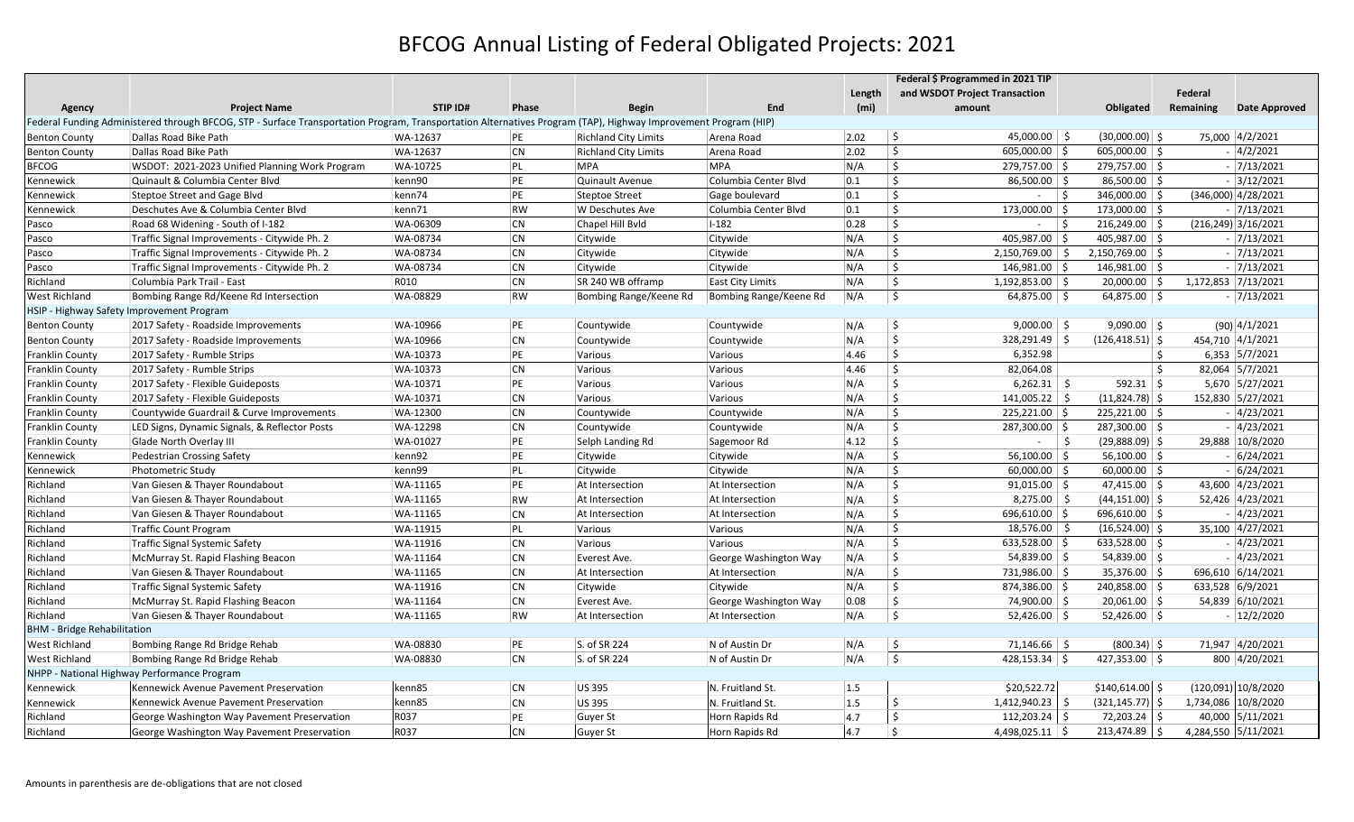## BFCOG Annual Listing of Federal Obligated Projects: 2021

|                                                                                                                                                                |                                                |                 |           |                             |                         |        | Federal \$ Programmed in 2021 TIP    |                          |                |                        |
|----------------------------------------------------------------------------------------------------------------------------------------------------------------|------------------------------------------------|-----------------|-----------|-----------------------------|-------------------------|--------|--------------------------------------|--------------------------|----------------|------------------------|
|                                                                                                                                                                |                                                |                 |           |                             |                         | Length | and WSDOT Project Transaction        |                          | <b>Federal</b> |                        |
| Agency                                                                                                                                                         | <b>Project Name</b>                            | <b>STIP ID#</b> | Phase     | <b>Begin</b>                | End                     | (mi)   | amount                               | Obligated                | Remaining      | <b>Date Approved</b>   |
| Federal Funding Administered through BFCOG, STP - Surface Transportation Program, Transportation Alternatives Program (TAP), Highway Improvement Program (HIP) |                                                |                 |           |                             |                         |        |                                      |                          |                |                        |
| <b>Benton County</b>                                                                                                                                           | Dallas Road Bike Path                          | WA-12637        | PE        | <b>Richland City Limits</b> | Arena Road              | 2.02   | \$<br>45,000.00 \$                   | $(30,000.00)$ \$         |                | 75,000 4/2/2021        |
| <b>Benton County</b>                                                                                                                                           | Dallas Road Bike Path                          | WA-12637        | <b>CN</b> | <b>Richland City Limits</b> | Arena Road              | 2.02   | \$<br>$605,000.00$ \$                | $605,000.00$ \$          |                | $-$ 4/2/2021           |
| <b>BFCOG</b>                                                                                                                                                   | WSDOT: 2021-2023 Unified Planning Work Program | WA-10725        | PL        | <b>MPA</b>                  | <b>MPA</b>              | N/A    | \$<br>279,757.00 \$                  | 279,757.00 \$            |                | $-7/13/2021$           |
| Kennewick                                                                                                                                                      | Quinault & Columbia Center Blvd                | kenn90          | PE        | Quinault Avenue             | Columbia Center Blvd    | 0.1    | \$<br>86,500.00 \$                   | 86,500.00 \$             |                | $-3/12/2021$           |
| Kennewick                                                                                                                                                      | Steptoe Street and Gage Blvd                   | kenn74          | PE        | <b>Steptoe Street</b>       | Gage boulevard          | 0.1    | \$<br>$ \vert$ \$                    | 346,000.00 \$            |                | $(346,000)$ 4/28/2021  |
| Kennewick                                                                                                                                                      | Deschutes Ave & Columbia Center Blvd           | kenn71          | RW        | W Deschutes Ave             | Columbia Center Blvd    | 0.1    | \$<br>173,000.00 \$                  | 173,000.00 \$            |                | $-7/13/2021$           |
| Pasco                                                                                                                                                          | Road 68 Widening - South of I-182              | WA-06309        | <b>CN</b> | Chapel Hill Byld            | $I-182$                 | 0.28   | $\ddot{\mathsf{S}}$<br>$ \sqrt{5}$   | $216,249.00$ \$          |                | $(216, 249)$ 3/16/2021 |
| Pasco                                                                                                                                                          | Traffic Signal Improvements - Citywide Ph. 2   | WA-08734        | <b>CN</b> | Citywide                    | Citywide                | N/A    | $\mathsf{S}$<br>405,987.00 \$        | 405,987.00 \$            |                | $-7/13/2021$           |
| Pasco                                                                                                                                                          | Traffic Signal Improvements - Citywide Ph. 2   | WA-08734        | <b>CN</b> | Citywide                    | Citywide                | N/A    | $\mathsf{S}$<br>2,150,769.00 \$      | $2,150,769.00$ \$        |                | $-7/13/2021$           |
| Pasco                                                                                                                                                          | Traffic Signal Improvements - Citywide Ph. 2   | WA-08734        | <b>CN</b> | Citywide                    | Citywide                | N/A    | \$<br>146,981.00 \$                  | 146,981.00 \$            |                | $-7/13/2021$           |
| Richland                                                                                                                                                       | Columbia Park Trail - East                     | R010            | <b>CN</b> | SR 240 WB offramp           | <b>East City Limits</b> | N/A    | \$<br>1,192,853.00 \$                | $20,000.00$ \$           |                | 1,172,853 7/13/2021    |
| West Richland                                                                                                                                                  | Bombing Range Rd/Keene Rd Intersection         | WA-08829        | RW        | Bombing Range/Keene Rd      | Bombing Range/Keene Rd  | N/A    | \$<br>$64,875.00$ \$                 | $64,875.00$ \$           |                | $-7/13/2021$           |
|                                                                                                                                                                | HSIP - Highway Safety Improvement Program      |                 |           |                             |                         |        |                                      |                          |                |                        |
| <b>Benton County</b>                                                                                                                                           | 2017 Safety - Roadside Improvements            | WA-10966        | PE        | Countywide                  | Countywide              | N/A    | \$<br>$9,000.00$ \$                  | $9,090.00$ \$            |                | $(90)$ 4/1/2021        |
| <b>Benton County</b>                                                                                                                                           | 2017 Safety - Roadside Improvements            | WA-10966        | <b>CN</b> | Countywide                  | Countywide              | N/A    | \$<br>328,291.49 \$                  | $(126, 418.51)$ \$       |                | 454,710 4/1/2021       |
| <b>Franklin County</b>                                                                                                                                         | 2017 Safety - Rumble Strips                    | WA-10373        | PE        | Various                     | Various                 | 4.46   | \$<br>6,352.98                       |                          | Ŝ.             | 6,353 5/7/2021         |
| Franklin County                                                                                                                                                | 2017 Safety - Rumble Strips                    | WA-10373        | <b>CN</b> | Various                     | Various                 | 4.46   | \$<br>82,064.08                      |                          | \$             | 82,064 5/7/2021        |
| Franklin County                                                                                                                                                | 2017 Safety - Flexible Guideposts              | WA-10371        | PE        | Various                     | Various                 | N/A    | \$<br>$6,262.31$ \$                  | $592.31$ \$              |                | 5,670 5/27/2021        |
| Franklin County                                                                                                                                                | 2017 Safety - Flexible Guideposts              | WA-10371        | <b>CN</b> | Various                     | Various                 | N/A    | \$<br>$141,005.22$ \$                | $(11,824.78)$ \$         |                | 152,830 5/27/2021      |
| Franklin County                                                                                                                                                | Countywide Guardrail & Curve Improvements      | WA-12300        | <b>CN</b> | Countywide                  | Countywide              | N/A    | Ŝ.<br>$225,221.00$ \$                | $225,221.00$ \$          |                | $-$ 4/23/2021          |
| Franklin County                                                                                                                                                | LED Signs, Dynamic Signals, & Reflector Posts  | WA-12298        | <b>CN</b> | Countywide                  | Countywide              | N/A    | \$<br>287,300.00 \$                  | 287,300.00 \$            |                | $-$ 4/23/2021          |
| Franklin County                                                                                                                                                | Glade North Overlay III                        | WA-01027        | PE        | Selph Landing Rd            | Sagemoor Rd             | 4.12   | $\ddot{\mathsf{S}}$<br>$\sim$        | - \$<br>$(29,888.09)$ \$ |                | 29,888 10/8/2020       |
| Kennewick                                                                                                                                                      | Pedestrian Crossing Safety                     | kenn92          | PE        | Citywide                    | Citywide                | N/A    | \$<br>$56,100.00$ \$                 | $56,100.00$ \$           |                | $-6/24/2021$           |
| Kennewick                                                                                                                                                      | Photometric Study                              | kenn99          | PL        | Citywide                    | Citywide                | N/A    | \$<br>$60,000.00$ \$                 | $60,000.00$ \$           |                | $-6/24/2021$           |
| Richland                                                                                                                                                       | Van Giesen & Thayer Roundabout                 | WA-11165        | PE        | At Intersection             | At Intersection         | N/A    | \$<br>$91,015.00$ \$                 | $47,415.00$ \$           |                | 43,600 4/23/2021       |
| Richland                                                                                                                                                       | Van Giesen & Thayer Roundabout                 | WA-11165        | RW        | At Intersection             | At Intersection         | N/A    | \$<br>$8,275.00$ \$                  | $(44, 151.00)$ \$        |                | 52,426 4/23/2021       |
| Richland                                                                                                                                                       | Van Giesen & Thayer Roundabout                 | WA-11165        | <b>CN</b> | At Intersection             | At Intersection         | N/A    | \$<br>696,610.00 \$                  | 696,610.00 \$            |                | $-$ 4/23/2021          |
| Richland                                                                                                                                                       | Traffic Count Program                          | WA-11915        | PL        | Various                     | Various                 | N/A    | \$<br>$18,576.00$ \$                 | $(16,524.00)$ \$         |                | 35,100 4/27/2021       |
| Richland                                                                                                                                                       | Traffic Signal Systemic Safety                 | WA-11916        | <b>CN</b> | Various                     | Various                 | N/A    | \$<br>633,528.00 \$                  | 633,528.00 \$            |                | $-4/23/2021$           |
| Richland                                                                                                                                                       | McMurray St. Rapid Flashing Beacon             | WA-11164        | <b>CN</b> | Everest Ave.                | George Washington Way   | N/A    | \$<br>$54,839.00$ \$                 | $54,839.00$ \$           |                | $-$ 4/23/2021          |
| Richland                                                                                                                                                       | Van Giesen & Thayer Roundabout                 | WA-11165        | <b>CN</b> | At Intersection             | At Intersection         | N/A    | \$<br>731,986.00 \$                  | 35,376.00 \$             |                | 696,610 6/14/2021      |
| Richland                                                                                                                                                       | Traffic Signal Systemic Safety                 | WA-11916        | <b>CN</b> | Citywide                    | Citywide                | N/A    | \$<br>874,386.00 \$                  | 240,858.00 \$            |                | 633,528 6/9/2021       |
| Richland                                                                                                                                                       | McMurray St. Rapid Flashing Beacon             | WA-11164        | <b>CN</b> | Everest Ave.                | George Washington Way   | 0.08   | \$<br>74,900.00 \$                   | $20,061.00$ \$           |                | 54,839 6/10/2021       |
| Richland                                                                                                                                                       | Van Giesen & Thayer Roundabout                 | WA-11165        | RW        | At Intersection             | At Intersection         | N/A    | Ŝ.<br>$52,426.00$ \$                 | $52,426.00$ \$           |                | $- 12/2/2020$          |
| <b>BHM</b> - Bridge Rehabilitation                                                                                                                             |                                                |                 |           |                             |                         |        |                                      |                          |                |                        |
| West Richland                                                                                                                                                  | Bombing Range Rd Bridge Rehab                  | WA-08830        | PE        | S. of SR 224                | N of Austin Dr          | N/A    | \$<br>71,146.66 \$                   | $(800.34)$ \$            |                | 71,947 4/20/2021       |
| West Richland                                                                                                                                                  | Bombing Range Rd Bridge Rehab                  | WA-08830        | <b>CN</b> | S. of SR 224                | N of Austin Dr          | N/A    | $\ddot{\mathsf{S}}$<br>428,153.34 \$ | $427,353.00$ \$          |                | 800 4/20/2021          |
| NHPP - National Highway Performance Program                                                                                                                    |                                                |                 |           |                             |                         |        |                                      |                          |                |                        |
| Kennewick                                                                                                                                                      | Kennewick Avenue Pavement Preservation         | kenn85          | <b>CN</b> | <b>US395</b>                | N. Fruitland St.        | 1.5    | \$20,522.72                          | $$140,614.00$ \$         |                | (120,091) 10/8/2020    |
| Kennewick                                                                                                                                                      | Kennewick Avenue Pavement Preservation         | kenn85          | <b>CN</b> | <b>US395</b>                | N. Fruitland St.        | 1.5    | Ś.<br>$1,412,940.23$ \$              | $(321, 145.77)$ \$       |                | 1,734,086 10/8/2020    |
| Richland                                                                                                                                                       | George Washington Way Pavement Preservation    | R037            | PE        | Guyer St                    | Horn Rapids Rd          | 4.7    | Ś.<br>112,203.24 \$                  | 72,203.24 \$             |                | 40,000 5/11/2021       |
| Richland                                                                                                                                                       | George Washington Way Pavement Preservation    | R037            | <b>CN</b> | Guyer St                    | Horn Rapids Rd          | 4.7    | Ŝ.<br>4,498,025.11 $\vert$ \$        | 213,474.89 \$            |                | 4,284,550 5/11/2021    |
|                                                                                                                                                                |                                                |                 |           |                             |                         |        |                                      |                          |                |                        |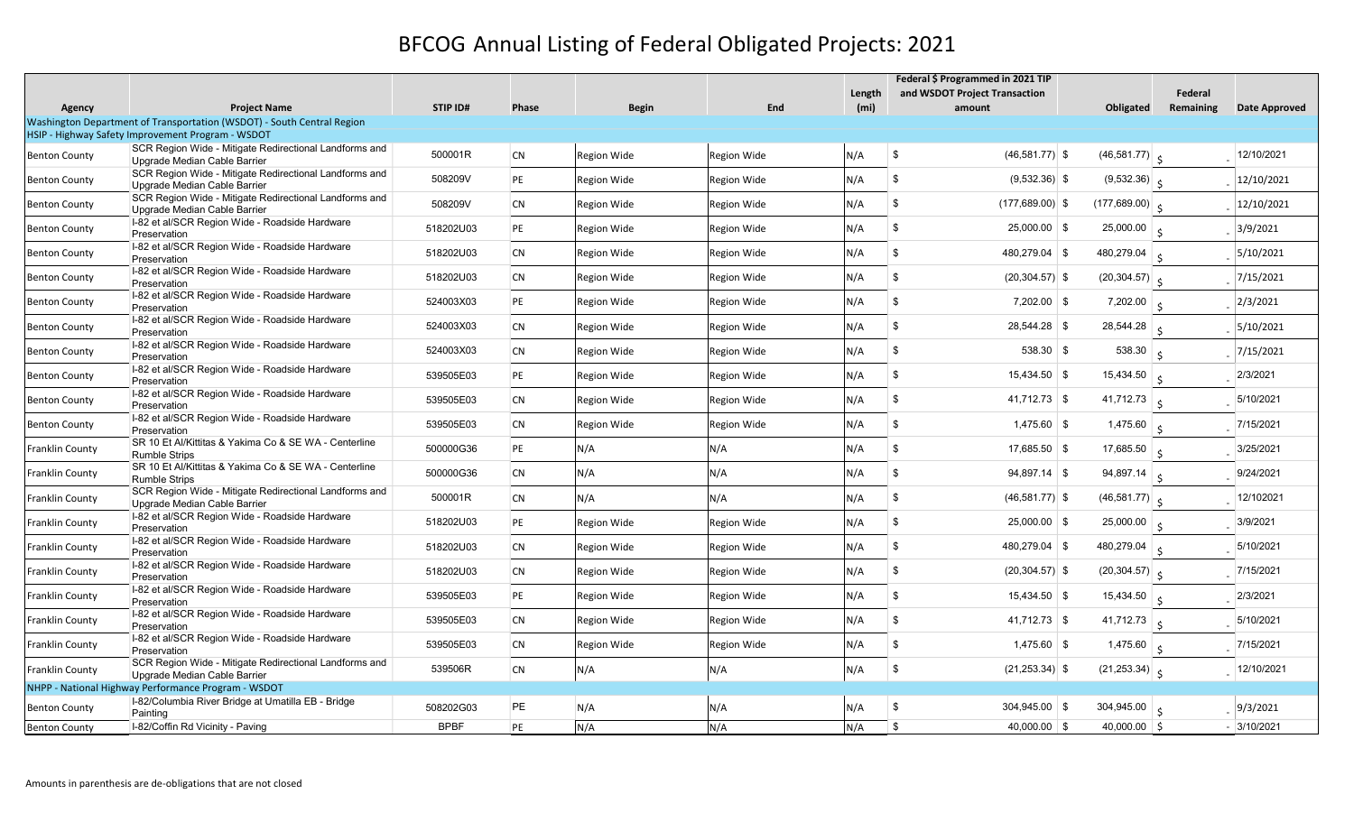## BFCOG Annual Listing of Federal Obligated Projects: 2021

|                                                   |                                                                                        |             |           |                    |             | Length | Federal \$ Programmed in 2021 TIP       |                                             | Federal   |                      |
|---------------------------------------------------|----------------------------------------------------------------------------------------|-------------|-----------|--------------------|-------------|--------|-----------------------------------------|---------------------------------------------|-----------|----------------------|
| Agency                                            | <b>Project Name</b>                                                                    | STIP ID#    | Phase     | <b>Begin</b>       | End         | (mi)   | and WSDOT Project Transaction<br>amount | Obligated                                   | Remaining | <b>Date Approved</b> |
|                                                   | Washington Department of Transportation (WSDOT) - South Central Region                 |             |           |                    |             |        |                                         |                                             |           |                      |
| HSIP - Highway Safety Improvement Program - WSDOT |                                                                                        |             |           |                    |             |        |                                         |                                             |           |                      |
| <b>Benton County</b>                              | SCR Region Wide - Mitigate Redirectional Landforms and<br>Upgrade Median Cable Barrier | 500001R     | <b>CN</b> | <b>Region Wide</b> | Region Wide | N/A    | \$<br>$(46,581.77)$ \$                  | $(46,581.77)$ $\zeta$                       |           | $-$ 12/10/2021       |
| <b>Benton County</b>                              | SCR Region Wide - Mitigate Redirectional Landforms and<br>Upgrade Median Cable Barrier | 508209V     | PE        | <b>Region Wide</b> | Region Wide | N/A    | \$<br>$(9,532.36)$ \$                   | $(9,532.36)$ $\zeta$                        |           | $\frac{12}{10}$ 2021 |
| Benton County                                     | SCR Region Wide - Mitigate Redirectional Landforms and<br>Upgrade Median Cable Barrier | 508209V     | <b>CN</b> | <b>Region Wide</b> | Region Wide | N/A    | \$<br>$(177, 689.00)$ \$                | $(177,689.00)$ $\zeta$                      |           | $\frac{12}{10}$ 2021 |
| <b>Benton County</b>                              | I-82 et al/SCR Region Wide - Roadside Hardware<br>Preservation                         | 518202U03   | PE        | <b>Region Wide</b> | Region Wide | N/A    | \$<br>$25,000.00$ \$                    | 25,000.00 $\vert$ $\vert$                   |           | $-$ 3/9/2021         |
| Benton County                                     | I-82 et al/SCR Region Wide - Roadside Hardware<br>Preservation                         | 518202U03   | <b>CN</b> | <b>Region Wide</b> | Region Wide | N/A    | \$<br>480.279.04 \$                     | 480,279.04 $\vert$ s                        |           | 5/10/2021            |
| Benton County                                     | I-82 et al/SCR Region Wide - Roadside Hardware<br>Preservation                         | 518202U03   | <b>CN</b> | <b>Region Wide</b> | Region Wide | N/A    | \$<br>$(20, 304.57)$ \$                 | $(20, 304.57)$ $\zeta$                      |           | 7/15/2021            |
| Benton County                                     | I-82 et al/SCR Region Wide - Roadside Hardware<br>Preservation                         | 524003X03   | PE        | <b>Region Wide</b> | Region Wide | N/A    | \$<br>$7,202.00$ \ \$                   | $7,202.00$ $\Big\vert$ $\left\vert \right.$ |           | 2/3/2021             |
| Benton County                                     | I-82 et al/SCR Region Wide - Roadside Hardware<br>Preservation                         | 524003X03   | <b>CN</b> | <b>Region Wide</b> | Region Wide | N/A    | \$<br>28,544.28 \$                      | 28,544.28 $\vert$ $\vert$                   |           | 5/10/2021            |
| Benton County                                     | I-82 et al/SCR Region Wide - Roadside Hardware<br>Preservation                         | 524003X03   | <b>CN</b> | <b>Region Wide</b> | Region Wide | N/A    | \$<br>538.30 \$                         | 538.30 $\frac{1}{5}$                        |           | $-$ 7/15/2021        |
| Benton County                                     | I-82 et al/SCR Region Wide - Roadside Hardware<br>Preservation                         | 539505E03   | PE        | <b>Region Wide</b> | Region Wide | N/A    | \$<br>$15,434.50$ \$                    | 15,434.50 $\vert$ \$                        |           | 2/3/2021             |
| Benton County                                     | I-82 et al/SCR Region Wide - Roadside Hardware<br>Preservation                         | 539505E03   | <b>CN</b> | <b>Region Wide</b> | Region Wide | N/A    | \$<br>$41,712.73$ \$                    | 41,712.73 $\vert$ s                         |           | 5/10/2021            |
| Benton County                                     | I-82 et al/SCR Region Wide - Roadside Hardware<br>Preservation                         | 539505E03   | <b>CN</b> | <b>Region Wide</b> | Region Wide | N/A    | \$<br>$1,475.60$ \$                     | 1,475.60                                    |           | 7/15/2021            |
| Franklin County                                   | SR 10 Et Al/Kittitas & Yakima Co & SE WA - Centerline<br><b>Rumble Strips</b>          | 500000G36   | PE        | N/A                | N/A         | N/A    | \$<br>$17,685.50$ \$                    | 17,685.50 $\vert$ \$                        |           | 3/25/2021            |
| Franklin County                                   | SR 10 Et Al/Kittitas & Yakima Co & SE WA - Centerline<br><b>Rumble Strips</b>          | 500000G36   | <b>CN</b> | N/A                | N/A         | N/A    | \$<br>$94,897.14$ \$                    | 94,897.14 $\frac{1}{5}$                     |           | 9/24/2021            |
| Franklin County                                   | SCR Region Wide - Mitigate Redirectional Landforms and<br>Upgrade Median Cable Barrier | 500001R     | <b>CN</b> | N/A                | N/A         | N/A    | \$<br>$(46,581.77)$ \$                  | $(46,581.77)$ $\zeta$                       |           | 12/102021            |
| Franklin County                                   | I-82 et al/SCR Region Wide - Roadside Hardware<br>Preservation                         | 518202U03   | PE        | <b>Region Wide</b> | Region Wide | N/A    | \$<br>$25,000.00$ \$                    | 25,000.00 $\vert$ \$                        |           | 3/9/2021             |
| Franklin County                                   | I-82 et al/SCR Region Wide - Roadside Hardware<br>Preservation                         | 518202U03   | CN        | <b>Region Wide</b> | Region Wide | N/A    | \$<br>480,279.04 \$                     | 480,279.04 $\vert$ $\vert$                  |           | 5/10/2021            |
| Franklin County                                   | I-82 et al/SCR Region Wide - Roadside Hardware<br>Preservation                         | 518202U03   | <b>CN</b> | <b>Region Wide</b> | Region Wide | N/A    | \$<br>$(20, 304.57)$ \$                 | $(20, 304.57)$ $\zeta$                      |           | 7/15/2021            |
| Franklin County                                   | I-82 et al/SCR Region Wide - Roadside Hardware<br>Preservation                         | 539505E03   | PE        | <b>Region Wide</b> | Region Wide | N/A    | \$<br>$15,434.50$ \$                    | 15,434.50 $\vert$ \$                        |           | 2/3/2021             |
| Franklin County                                   | I-82 et al/SCR Region Wide - Roadside Hardware<br>Preservation                         | 539505E03   | <b>CN</b> | <b>Region Wide</b> | Region Wide | N/A    | \$<br>$41,712.73$ \$                    | 41,712.73 $\frac{1}{5}$                     |           | 5/10/2021            |
| Franklin County                                   | I-82 et al/SCR Region Wide - Roadside Hardware<br>Preservation                         | 539505E03   | <b>CN</b> | <b>Region Wide</b> | Region Wide | N/A    | \$<br>$1,475.60$ \$                     | 1,475.60 $\vert$ s                          |           | 7/15/2021            |
| Franklin County                                   | SCR Region Wide - Mitigate Redirectional Landforms and<br>Upgrade Median Cable Barrier | 539506R     | CN        | N/A                | N/A         | N/A    | \$<br>$(21, 253.34)$ \$                 | $(21,253.34)$ $\zeta$                       |           | $-$   12/10/2021     |
|                                                   | NHPP - National Highway Performance Program - WSDOT                                    |             |           |                    |             |        |                                         |                                             |           |                      |
| <b>Benton County</b>                              | I-82/Columbia River Bridge at Umatilla EB - Bridge<br>Painting                         | 508202G03   | PE        | N/A                | N/A         | N/A    | \$<br>$304,945.00$ \$                   | 304,945.00 $\vert$ s                        |           | 9/3/2021             |
| <b>Benton County</b>                              | I-82/Coffin Rd Vicinity - Paving                                                       | <b>BPBF</b> | PE        | N/A                | N/A         | N/A    | \$<br>$40,000.00$ \$                    | $40,000.00$ \$                              |           | $-$ 3/10/2021        |